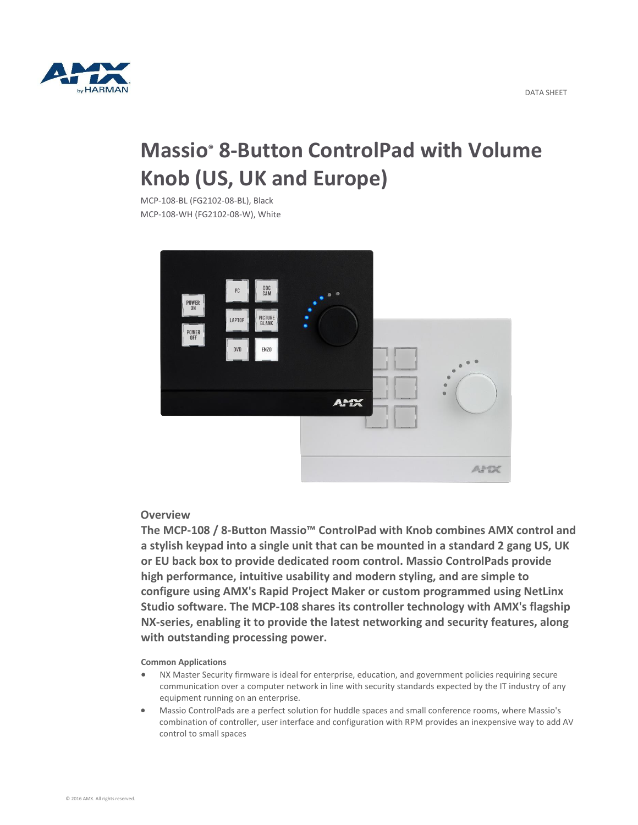

# **Massio® 8-Button ControlPad with Volume Knob (US, UK and Europe)**

MCP-108-BL (FG2102-08-BL), Black MCP-108-WH (FG2102-08-W), White



## **Overview**

**The MCP-108 / 8-Button Massio™ ControlPad with Knob combines AMX control and a stylish keypad into a single unit that can be mounted in a standard 2 gang US, UK or EU back box to provide dedicated room control. Massio ControlPads provide high performance, intuitive usability and modern styling, and are simple to configure using AMX's Rapid Project Maker or custom programmed using NetLinx Studio software. The MCP-108 shares its controller technology with AMX's flagship NX-series, enabling it to provide the latest networking and security features, along with outstanding processing power.**

#### **Common Applications**

- NX Master Security firmware is ideal for enterprise, education, and government policies requiring secure communication over a computer network in line with security standards expected by the IT industry of any equipment running on an enterprise.
- Massio ControlPads are a perfect solution for huddle spaces and small conference rooms, where Massio's combination of controller, user interface and configuration with RPM provides an inexpensive way to add AV control to small spaces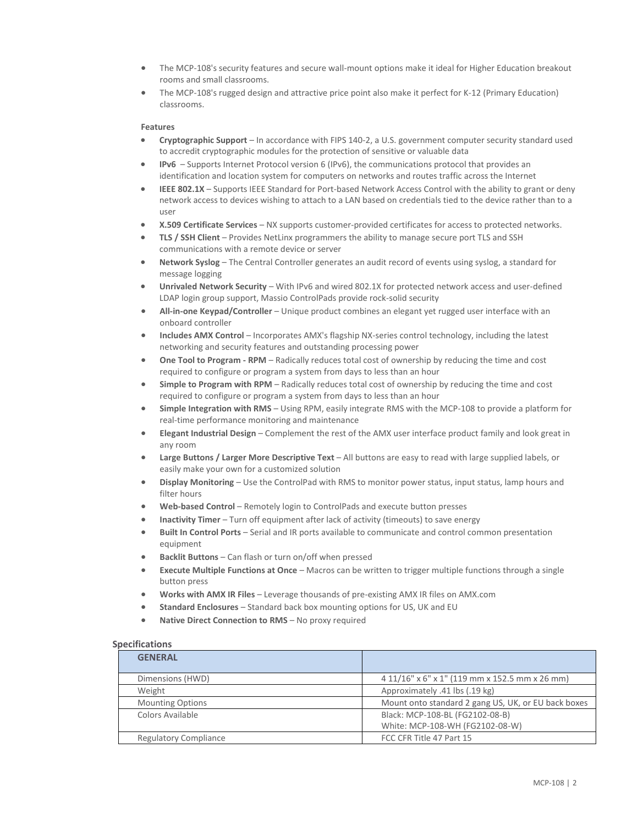- The MCP-108's security features and secure wall-mount options make it ideal for Higher Education breakout rooms and small classrooms.
- The MCP-108's rugged design and attractive price point also make it perfect for K-12 (Primary Education) classrooms.

### **Features**

- **Cryptographic Support** In accordance with FIPS 140-2, a U.S. government computer security standard used to accredit cryptographic modules for the protection of sensitive or valuable data
- **IPv6** Supports Internet Protocol version 6 (IPv6), the communications protocol that provides an identification and location system for computers on networks and routes traffic across the Internet
- **IEEE 802.1X** Supports IEEE Standard for Port-based Network Access Control with the ability to grant or deny network access to devices wishing to attach to a LAN based on credentials tied to the device rather than to a user
- **X.509 Certificate Services** NX supports customer-provided certificates for access to protected networks.
- **TLS / SSH Client** Provides NetLinx programmers the ability to manage secure port TLS and SSH communications with a remote device or server
- **Network Syslog** The Central Controller generates an audit record of events using syslog, a standard for message logging
- **Unrivaled Network Security** With IPv6 and wired 802.1X for protected network access and user-defined LDAP login group support, Massio ControlPads provide rock-solid security
- **All-in-one Keypad/Controller** Unique product combines an elegant yet rugged user interface with an onboard controller
- **Includes AMX Control** Incorporates AMX's flagship NX-series control technology, including the latest networking and security features and outstanding processing power
- **One Tool to Program - RPM** Radically reduces total cost of ownership by reducing the time and cost required to configure or program a system from days to less than an hour
- **Simple to Program with RPM** Radically reduces total cost of ownership by reducing the time and cost required to configure or program a system from days to less than an hour
- **Simple Integration with RMS** Using RPM, easily integrate RMS with the MCP-108 to provide a platform for real-time performance monitoring and maintenance
- **Elegant Industrial Design** Complement the rest of the AMX user interface product family and look great in any room
- **Large Buttons / Larger More Descriptive Text** All buttons are easy to read with large supplied labels, or easily make your own for a customized solution
- **Display Monitoring** Use the ControlPad with RMS to monitor power status, input status, lamp hours and filter hours
- **Web-based Control** Remotely login to ControlPads and execute button presses
- **Inactivity Timer** Turn off equipment after lack of activity (timeouts) to save energy
- **Built In Control Ports** Serial and IR ports available to communicate and control common presentation equipment
- **Backlit Buttons** Can flash or turn on/off when pressed
- **Execute Multiple Functions at Once** Macros can be written to trigger multiple functions through a single button press
- **Works with AMX IR Files** Leverage thousands of pre-existing AMX IR files on AMX.com
- **Standard Enclosures** Standard back box mounting options for US, UK and EU
- **Native Direct Connection to RMS** No proxy required

#### **Specifications**

| <b>GENERAL</b>               |                                                     |
|------------------------------|-----------------------------------------------------|
| Dimensions (HWD)             | 4 11/16" x 6" x 1" (119 mm x 152.5 mm x 26 mm)      |
| Weight                       | Approximately .41 lbs (.19 kg)                      |
| <b>Mounting Options</b>      | Mount onto standard 2 gang US, UK, or EU back boxes |
| Colors Available             | Black: MCP-108-BL (FG2102-08-B)                     |
|                              | White: MCP-108-WH (FG2102-08-W)                     |
| <b>Regulatory Compliance</b> | FCC CFR Title 47 Part 15                            |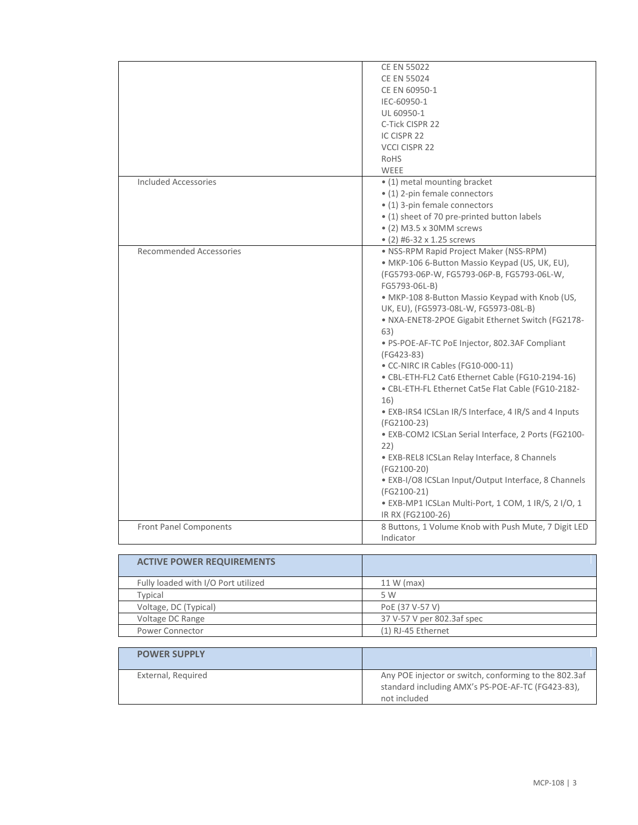|                                | <b>CE EN 55022</b>                                    |
|--------------------------------|-------------------------------------------------------|
|                                | <b>CE EN 55024</b>                                    |
|                                | CE EN 60950-1                                         |
|                                | IEC-60950-1                                           |
|                                | UL 60950-1                                            |
|                                | C-Tick CISPR 22                                       |
|                                | IC CISPR 22                                           |
|                                | <b>VCCI CISPR 22</b>                                  |
|                                | RoHS                                                  |
|                                |                                                       |
|                                | WEEE                                                  |
| <b>Included Accessories</b>    | • (1) metal mounting bracket                          |
|                                | • (1) 2-pin female connectors                         |
|                                | • (1) 3-pin female connectors                         |
|                                | • (1) sheet of 70 pre-printed button labels           |
|                                | • (2) M3.5 x 30MM screws                              |
|                                | • (2) #6-32 x 1.25 screws                             |
| <b>Recommended Accessories</b> | · NSS-RPM Rapid Project Maker (NSS-RPM)               |
|                                | · MKP-106 6-Button Massio Keypad (US, UK, EU),        |
|                                | (FG5793-06P-W, FG5793-06P-B, FG5793-06L-W,            |
|                                | FG5793-06L-B)                                         |
|                                | · MKP-108 8-Button Massio Keypad with Knob (US,       |
|                                | UK, EU), (FG5973-08L-W, FG5973-08L-B)                 |
|                                | · NXA-ENET8-2POE Gigabit Ethernet Switch (FG2178-     |
|                                | 63)                                                   |
|                                | · PS-POE-AF-TC PoE Injector, 802.3AF Compliant        |
|                                | (FG423-83)                                            |
|                                | · CC-NIRC IR Cables (FG10-000-11)                     |
|                                | · CBL-ETH-FL2 Cat6 Ethernet Cable (FG10-2194-16)      |
|                                | · CBL-ETH-FL Ethernet Cat5e Flat Cable (FG10-2182-    |
|                                | 16)                                                   |
|                                | · EXB-IRS4 ICSLan IR/S Interface, 4 IR/S and 4 Inputs |
|                                | (FG2100-23)                                           |
|                                | · EXB-COM2 ICSLan Serial Interface, 2 Ports (FG2100-  |
|                                |                                                       |
|                                | 22)                                                   |
|                                | · EXB-REL8 ICSLan Relay Interface, 8 Channels         |
|                                | (FG2100-20)                                           |
|                                | · EXB-I/O8 ICSLan Input/Output Interface, 8 Channels  |
|                                | (FG2100-21)                                           |
|                                | · EXB-MP1 ICSLan Multi-Port, 1 COM, 1 IR/S, 2 I/O, 1  |
|                                | IR RX (FG2100-26)                                     |
| <b>Front Panel Components</b>  | 8 Buttons, 1 Volume Knob with Push Mute, 7 Digit LED  |
|                                | Indicator                                             |

| <b>ACTIVE POWER REQUIREMENTS</b>    |                            |
|-------------------------------------|----------------------------|
| Fully loaded with I/O Port utilized | $11 W$ (max)               |
| Typical                             | 5 W                        |
| Voltage, DC (Typical)               | PoE (37 V-57 V)            |
| Voltage DC Range                    | 37 V-57 V per 802.3af spec |
| Power Connector                     | (1) RJ-45 Ethernet         |

| <b>POWER SUPPLY</b> |                                                                                                                            |
|---------------------|----------------------------------------------------------------------------------------------------------------------------|
| External, Required  | Any POE injector or switch, conforming to the 802.3af<br>standard including AMX's PS-POE-AF-TC (FG423-83),<br>not included |